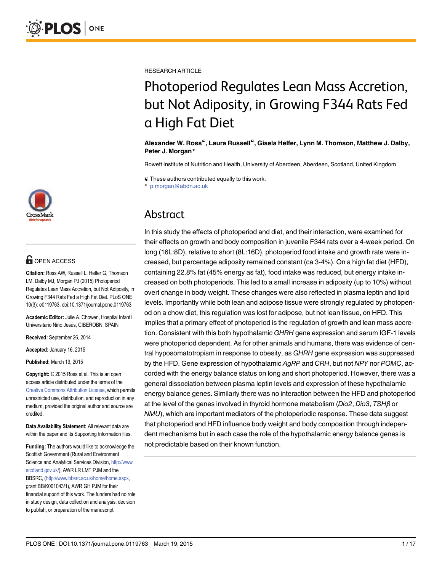

# **G** OPEN ACCESS

Citation: Ross AW, Russell L, Helfer G, Thomson LM, Dalby MJ, Morgan PJ (2015) Photoperiod Regulates Lean Mass Accretion, but Not Adiposity, in Growing F344 Rats Fed a High Fat Diet. PLoS ONE 10(3): e0119763. doi:10.1371/journal.pone.0119763

Academic Editor: Julie A. Chowen, Hosptial Infantil Universitario Niño Jesús, CIBEROBN, SPAIN

Received: September 26, 2014

Accepted: January 16, 2015

Published: March 19, 2015

Copyright: © 2015 Ross et al. This is an open access article distributed under the terms of the [Creative Commons Attribution License,](http://creativecommons.org/licenses/by/4.0/) which permits unrestricted use, distribution, and reproduction in any medium, provided the original author and source are credited.

Data Availability Statement: All relevant data are within the paper and its Supporting Information files.

Funding: The authors would like to acknowledge the Scottish Government (Rural and Environment Science and Analytical Services Division, [http://www.](http://www.scotland.gov.uk/) [scotland.gov.uk/\)](http://www.scotland.gov.uk/), AWR LR LMT PJM and the BBSRC, (<http://www.bbsrc.ac.uk/home/home.aspx>, grant BB/K001043/1), AWR GH PJM for their financial support of this work. The funders had no role in study design, data collection and analysis, decision to publish, or preparation of the manuscript.

RESEARCH ARTICLE

# Photoperiod Regulates Lean Mass Accretion, but Not Adiposity, in Growing F344 Rats Fed a High Fat Diet

#### Alexander W. Ross☯, Laura Russell☯, Gisela Helfer, Lynn M. Thomson, Matthew J. Dalby, Peter J. Morgan\*

Rowett Institute of Nutrition and Health, University of Aberdeen, Aberdeen, Scotland, United Kingdom

☯ These authors contributed equally to this work.

\* p.morgan@abdn.ac.uk

# Abstract

In this study the effects of photoperiod and diet, and their interaction, were examined for their effects on growth and body composition in juvenile F344 rats over a 4-week period. On long (16L:8D), relative to short (8L:16D), photoperiod food intake and growth rate were increased, but percentage adiposity remained constant (ca 3-4%). On a high fat diet (HFD), containing 22.8% fat (45% energy as fat), food intake was reduced, but energy intake increased on both photoperiods. This led to a small increase in adiposity (up to 10%) without overt change in body weight. These changes were also reflected in plasma leptin and lipid levels. Importantly while both lean and adipose tissue were strongly regulated by photoperiod on a chow diet, this regulation was lost for adipose, but not lean tissue, on HFD. This implies that a primary effect of photoperiod is the regulation of growth and lean mass accretion. Consistent with this both hypothalamic GHRH gene expression and serum IGF-1 levels were photoperiod dependent. As for other animals and humans, there was evidence of central hyposomatotropism in response to obesity, as GHRH gene expression was suppressed by the HFD. Gene expression of hypothalamic AgRP and CRH, but not NPY nor POMC, accorded with the energy balance status on long and short photoperiod. However, there was a general dissociation between plasma leptin levels and expression of these hypothalamic energy balance genes. Similarly there was no interaction between the HFD and photoperiod at the level of the genes involved in thyroid hormone metabolism (Dio2, Dio3, TSH<sup>β</sup> or NMU), which are important mediators of the photoperiodic response. These data suggest that photoperiod and HFD influence body weight and body composition through independent mechanisms but in each case the role of the hypothalamic energy balance genes is not predictable based on their known function.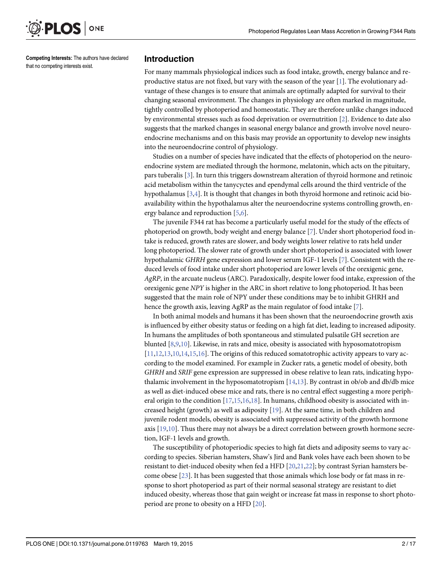<span id="page-1-0"></span>

Competing Interests: The authors have declared that no competing interests exist.

#### Introduction

For many mammals physiological indices such as food intake, growth, energy balance and reproductive status are not fixed, but vary with the season of the year  $[1]$  $[1]$ . The evolutionary advantage of these changes is to ensure that animals are optimally adapted for survival to their changing seasonal environment. The changes in physiology are often marked in magnitude, tightly controlled by photoperiod and homeostatic. They are therefore unlike changes induced by environmental stresses such as food deprivation or overnutrition [\[2](#page-13-0)]. Evidence to date also suggests that the marked changes in seasonal energy balance and growth involve novel neuroendocrine mechanisms and on this basis may provide an opportunity to develop new insights into the neuroendocrine control of physiology.

Studies on a number of species have indicated that the effects of photoperiod on the neuroendocrine system are mediated through the hormone, melatonin, which acts on the pituitary, pars tuberalis [[3\]](#page-13-0). In turn this triggers downstream alteration of thyroid hormone and retinoic acid metabolism within the tanycyctes and ependymal cells around the third ventricle of the hypothalamus  $[3,4]$  $[3,4]$ . It is thought that changes in both thyroid hormone and retinoic acid bioavailability within the hypothalamus alter the neuroendocrine systems controlling growth, en-ergy balance and reproduction [[5](#page-14-0),[6](#page-14-0)].

The juvenile F344 rat has become a particularly useful model for the study of the effects of photoperiod on growth, body weight and energy balance [\[7\]](#page-14-0). Under short photoperiod food intake is reduced, growth rates are slower, and body weights lower relative to rats held under long photoperiod. The slower rate of growth under short photoperiod is associated with lower hypothalamic GHRH gene expression and lower serum IGF-1 levels [[7\]](#page-14-0). Consistent with the reduced levels of food intake under short photoperiod are lower levels of the orexigenic gene, AgRP, in the arcuate nucleus (ARC). Paradoxically, despite lower food intake, expression of the orexigenic gene NPY is higher in the ARC in short relative to long photoperiod. It has been suggested that the main role of NPY under these conditions may be to inhibit GHRH and hence the growth axis, leaving AgRP as the main regulator of food intake [\[7\]](#page-14-0).

In both animal models and humans it has been shown that the neuroendocrine growth axis is influenced by either obesity status or feeding on a high fat diet, leading to increased adiposity. In humans the amplitudes of both spontaneous and stimulated pulsatile GH secretion are blunted [\[8,9,10\]](#page-14-0). Likewise, in rats and mice, obesity is associated with hyposomatotropism  $[11, 12, 13, 10, 14, 15, 16]$ . The origins of this reduced somatotrophic activity appears to vary according to the model examined. For example in Zucker rats, a genetic model of obesity, both GHRH and SRIF gene expression are suppressed in obese relative to lean rats, indicating hypothalamic involvement in the hyposomatotropism  $[14,13]$  $[14,13]$  $[14,13]$ . By contrast in ob/ob and db/db mice as well as diet-induced obese mice and rats, there is no central effect suggesting a more peripheral origin to the condition  $[17,15,16,18]$  $[17,15,16,18]$  $[17,15,16,18]$ . In humans, childhood obesity is associated with increased height (growth) as well as adiposity [[19](#page-14-0)]. At the same time, in both children and juvenile rodent models, obesity is associated with suppressed activity of the growth hormone axis  $[19,10]$  $[19,10]$  $[19,10]$ . Thus there may not always be a direct correlation between growth hormone secretion, IGF-1 levels and growth.

The susceptibility of photoperiodic species to high fat diets and adiposity seems to vary according to species. Siberian hamsters, Shaw's Jird and Bank voles have each been shown to be resistant to diet-induced obesity when fed a HFD [[20](#page-14-0),[21,22\]](#page-14-0); by contrast Syrian hamsters become obese [\[23\]](#page-14-0). It has been suggested that those animals which lose body or fat mass in response to short photoperiod as part of their normal seasonal strategy are resistant to diet induced obesity, whereas those that gain weight or increase fat mass in response to short photoperiod are prone to obesity on a HFD [[20](#page-14-0)].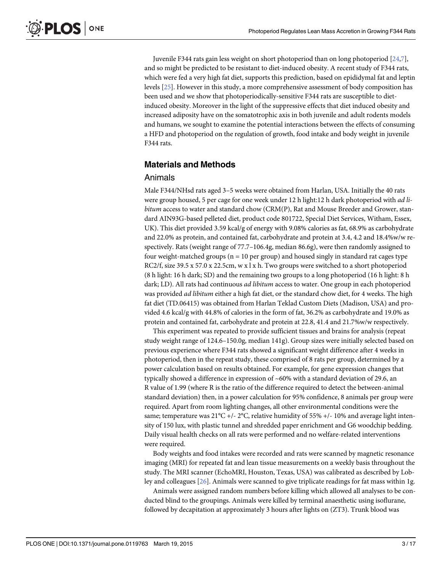<span id="page-2-0"></span>Juvenile F344 rats gain less weight on short photoperiod than on long photoperiod [[24,7](#page-14-0)], and so might be predicted to be resistant to diet-induced obesity. A recent study of F344 rats, which were fed a very high fat diet, supports this prediction, based on epididymal fat and leptin levels [\[25\]](#page-14-0). However in this study, a more comprehensive assessment of body composition has been used and we show that photoperiodically-sensitive F344 rats are susceptible to dietinduced obesity. Moreover in the light of the suppressive effects that diet induced obesity and increased adiposity have on the somatotrophic axis in both juvenile and adult rodents models and humans, we sought to examine the potential interactions between the effects of consuming a HFD and photoperiod on the regulation of growth, food intake and body weight in juvenile F344 rats.

### Materials and Methods

#### Animals

Male F344/NHsd rats aged 3–5 weeks were obtained from Harlan, USA. Initially the 40 rats were group housed, 5 per cage for one week under 12 h light:12 h dark photoperiod with *ad li*bitum access to water and standard chow (CRM(P), Rat and Mouse Breeder and Grower, standard AIN93G-based pelleted diet, product code 801722, Special Diet Services, Witham, Essex, UK). This diet provided 3.59 kcal/g of energy with 9.08% calories as fat, 68.9% as carbohydrate and 22.0% as protein, and contained fat, carbohydrate and protein at 3.4, 4.2 and 18.4%w/w respectively. Rats (weight range of 77.7–106.4g, median 86.6g), were then randomly assigned to four weight-matched groups ( $n = 10$  per group) and housed singly in standard rat cages type RC2/f, size 39.5 x 57.0 x 22.5cm, w x l x h. Two groups were switched to a short photoperiod (8 h light: 16 h dark; SD) and the remaining two groups to a long photoperiod (16 h light: 8 h dark; LD). All rats had continuous *ad libitum* access to water. One group in each photoperiod was provided *ad libitum* either a high fat diet, or the standard chow diet, for 4 weeks. The high fat diet (TD.06415) was obtained from Harlan Teklad Custom Diets (Madison, USA) and provided 4.6 kcal/g with 44.8% of calories in the form of fat, 36.2% as carbohydrate and 19.0% as protein and contained fat, carbohydrate and protein at 22.8, 41.4 and 21.7%w/w respectively.

This experiment was repeated to provide sufficient tissues and brains for analysis (repeat study weight range of 124.6–150.0g, median 141g). Group sizes were initially selected based on previous experience where F344 rats showed a significant weight difference after 4 weeks in photoperiod, then in the repeat study, these comprised of 8 rats per group, determined by a power calculation based on results obtained. For example, for gene expression changes that typically showed a difference in expression of  $~60\%$  with a standard deviation of 29.6, an R value of 1.99 (where R is the ratio of the difference required to detect the between-animal standard deviation) then, in a power calculation for 95% confidence, 8 animals per group were required. Apart from room lighting changes, all other environmental conditions were the same; temperature was  $21^{\circ}C$  +/-  $2^{\circ}C$ , relative humidity of 55% +/- 10% and average light intensity of 150 lux, with plastic tunnel and shredded paper enrichment and G6 woodchip bedding. Daily visual health checks on all rats were performed and no welfare-related interventions were required.

Body weights and food intakes were recorded and rats were scanned by magnetic resonance imaging (MRI) for repeated fat and lean tissue measurements on a weekly basis throughout the study. The MRI scanner (EchoMRI, Houston, Texas, USA) was calibrated as described by Lobley and colleagues [[26](#page-14-0)]. Animals were scanned to give triplicate readings for fat mass within 1g.

Animals were assigned random numbers before killing which allowed all analyses to be conducted blind to the groupings. Animals were killed by terminal anaesthetic using isoflurane, followed by decapitation at approximately 3 hours after lights on (ZT3). Trunk blood was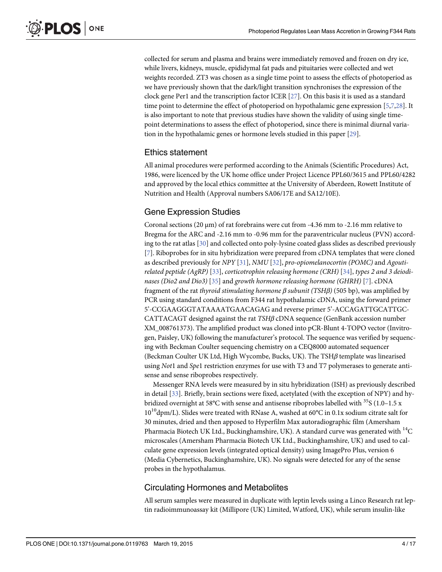<span id="page-3-0"></span>collected for serum and plasma and brains were immediately removed and frozen on dry ice, while livers, kidneys, muscle, epididymal fat pads and pituitaries were collected and wet weights recorded. ZT3 was chosen as a single time point to assess the effects of photoperiod as we have previously shown that the dark/light transition synchronises the expression of the clock gene Per1 and the transcription factor ICER [[27](#page-15-0)]. On this basis it is used as a standard time point to determine the effect of photoperiod on hypothalamic gene expression  $[5,7,28]$  $[5,7,28]$  $[5,7,28]$  $[5,7,28]$  $[5,7,28]$ . It is also important to note that previous studies have shown the validity of using single timepoint determinations to assess the effect of photoperiod, since there is minimal diurnal variation in the hypothalamic genes or hormone levels studied in this paper [\[29\]](#page-15-0).

#### Ethics statement

All animal procedures were performed according to the Animals (Scientific Procedures) Act, 1986, were licenced by the UK home office under Project Licence PPL60/3615 and PPL60/4282 and approved by the local ethics committee at the University of Aberdeen, Rowett Institute of Nutrition and Health (Approval numbers SA06/17E and SA12/10E).

### Gene Expression Studies

Coronal sections (20 μm) of rat forebrains were cut from -4.36 mm to -2.16 mm relative to Bregma for the ARC and -2.16 mm to -0.96 mm for the paraventricular nucleus (PVN) according to the rat atlas [\[30\]](#page-15-0) and collected onto poly-lysine coated glass slides as described previously [\[7](#page-14-0)]. Riboprobes for in situ hybridization were prepared from cDNA templates that were cloned as described previously for NPY [[31](#page-15-0)], NMU [\[32](#page-15-0)], pro-opiomelanocortin (POMC) and Agoutirelated peptide (AgRP) [[33\]](#page-15-0), corticotrophin releasing hormone (CRH) [\[34\]](#page-15-0), types 2 and 3 deiodi-nases (Dio2 and Dio3) [\[35\]](#page-15-0) and growth hormone releasing hormone (GHRH) [\[7](#page-14-0)]. cDNA fragment of the rat thyroid stimulating hormone  $\beta$  subunit (TSH $\beta$ ) (505 bp), was amplified by PCR using standard conditions from F344 rat hypothalamic cDNA, using the forward primer 5'-CCGAAGGGTATAAAATGAACAGAG and reverse primer 5'-ACCAGATTGCATTGC-CATTACAGT designed against the rat  $TSH\beta$  cDNA sequence (GenBank accession number XM\_008761373). The amplified product was cloned into pCR-Blunt 4-TOPO vector (Invitrogen, Paisley, UK) following the manufacturer's protocol. The sequence was verified by sequencing with Beckman Coulter sequencing chemistry on a CEQ8000 automated sequencer (Beckman Coulter UK Ltd, High Wycombe, Bucks, UK). The TSH $\beta$  template was linearised using Not1 and Spe1 restriction enzymes for use with T3 and T7 polymerases to generate antisense and sense riboprobes respectively.

Messenger RNA levels were measured by in situ hybridization (ISH) as previously described in detail [[33](#page-15-0)]. Briefly, brain sections were fixed, acetylated (with the exception of NPY) and hybridized overnight at 58°C with sense and antisense riboprobes labelled with  $35S(1.0-1.5 x)$  $10^{10}$ dpm/L). Slides were treated with RNase A, washed at 60°C in 0.1x sodium citrate salt for 30 minutes, dried and then apposed to Hyperfilm Max autoradiographic film (Amersham Pharmacia Biotech UK Ltd., Buckinghamshire, UK). A standard curve was generated with  $^{14}C$ microscales (Amersham Pharmacia Biotech UK Ltd., Buckinghamshire, UK) and used to calculate gene expression levels (integrated optical density) using ImagePro Plus, version 6 (Media Cybernetics, Buckinghamshire, UK). No signals were detected for any of the sense probes in the hypothalamus.

#### Circulating Hormones and Metabolites

All serum samples were measured in duplicate with leptin levels using a Linco Research rat leptin radioimmunoassay kit (Millipore (UK) Limited, Watford, UK), while serum insulin-like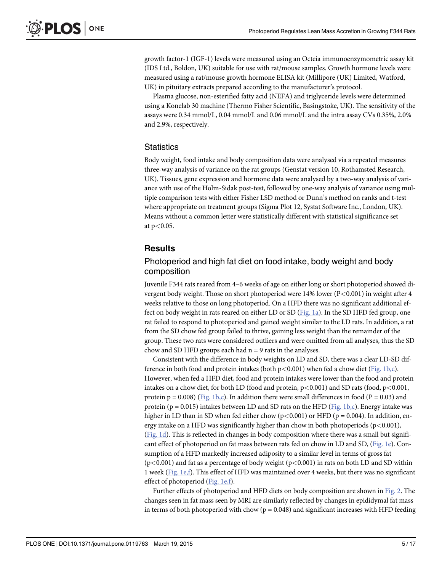<span id="page-4-0"></span>growth factor-1 (IGF-1) levels were measured using an Octeia immunoenzymometric assay kit (IDS Ltd., Boldon, UK) suitable for use with rat/mouse samples. Growth hormone levels were measured using a rat/mouse growth hormone ELISA kit (Millipore (UK) Limited, Watford, UK) in pituitary extracts prepared according to the manufacturer's protocol.

Plasma glucose, non-esterified fatty acid (NEFA) and triglyceride levels were determined using a Konelab 30 machine (Thermo Fisher Scientific, Basingstoke, UK). The sensitivity of the assays were 0.34 mmol/L, 0.04 mmol/L and 0.06 mmol/L and the intra assay CVs 0.35%, 2.0% and 2.9%, respectively.

#### **Statistics**

Body weight, food intake and body composition data were analysed via a repeated measures three-way analysis of variance on the rat groups (Genstat version 10, Rothamsted Research, UK). Tissues, gene expression and hormone data were analysed by a two-way analysis of variance with use of the Holm-Sidak post-test, followed by one-way analysis of variance using multiple comparison tests with either Fisher LSD method or Dunn's method on ranks and t-test where appropriate on treatment groups (Sigma Plot 12, Systat Software Inc., London, UK). Means without a common letter were statistically different with statistical significance set at p<0.05.

#### **Results**

# Photoperiod and high fat diet on food intake, body weight and body composition

Juvenile F344 rats reared from 4–6 weeks of age on either long or short photoperiod showed divergent body weight. Those on short photoperiod were 14% lower (P<0.001) in weight after 4 weeks relative to those on long photoperiod. On a HFD there was no significant additional effect on body weight in rats reared on either LD or SD [\(Fig. 1a](#page-5-0)). In the SD HFD fed group, one rat failed to respond to photoperiod and gained weight similar to the LD rats. In addition, a rat from the SD chow fed group failed to thrive, gaining less weight than the remainder of the group. These two rats were considered outliers and were omitted from all analyses, thus the SD chow and SD HFD groups each had  $n = 9$  rats in the analyses.

Consistent with the difference in body weights on LD and SD, there was a clear LD-SD difference in both food and protein intakes (both  $p<0.001$ ) when fed a chow diet ([Fig. 1b,c\)](#page-5-0). However, when fed a HFD diet, food and protein intakes were lower than the food and protein intakes on a chow diet, for both LD (food and protein,  $p < 0.001$ ) and SD rats (food,  $p < 0.001$ , protein  $p = 0.008$ ) ( $\underline{Fig. 1b,c}$ ). In addition there were small differences in food ( $P = 0.03$ ) and protein ( $p = 0.015$ ) intakes between LD and SD rats on the HFD ([Fig. 1b,c\)](#page-5-0). Energy intake was higher in LD than in SD when fed either chow ( $p<0.001$ ) or HFD ( $p = 0.004$ ). In addition, energy intake on a HFD was significantly higher than chow in both photoperiods ( $p < 0.001$ ), [\(Fig. 1d](#page-5-0)). This is reflected in changes in body composition where there was a small but significant effect of photoperiod on fat mass between rats fed on chow in LD and SD, [\(Fig. 1e\)](#page-5-0). Consumption of a HFD markedly increased adiposity to a similar level in terms of gross fat  $(p<0.001)$  and fat as a percentage of body weight  $(p<0.001)$  in rats on both LD and SD within 1 week ([Fig. 1e,f\)](#page-5-0). This effect of HFD was maintained over 4 weeks, but there was no significant effect of photoperiod ([Fig. 1e,f\)](#page-5-0).

Further effects of photoperiod and HFD diets on body composition are shown in [Fig. 2](#page-6-0). The changes seen in fat mass seen by MRI are similarly reflected by changes in epididymal fat mass in terms of both photoperiod with chow ( $p = 0.048$ ) and significant increases with HFD feeding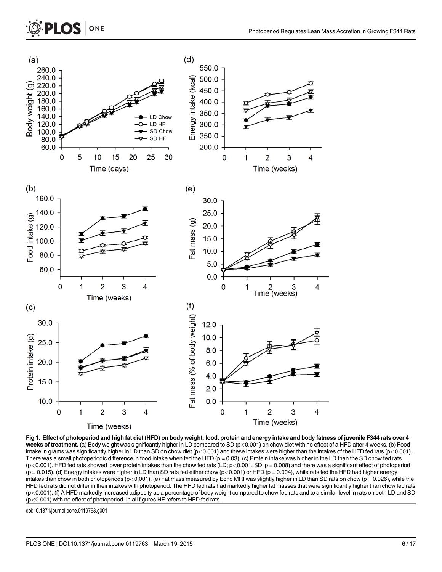<span id="page-5-0"></span>

[Fig 1. E](#page-4-0)ffect of photoperiod and high fat diet (HFD) on body weight, food, protein and energy intake and body fatness of juvenile F344 rats over 4 weeks of treatment. (a) Body weight was significantly higher in LD compared to SD (p<0.001) on chow diet with no effect of a HFD after 4 weeks. (b) Food intake in grams was significantly higher in LD than SD on chow diet (p<0.001) and these intakes were higher than the intakes of the HFD fed rats (p<0.001). There was a small photoperiodic difference in food intake when fed the HFD ( $p = 0.03$ ). (c) Protein intake was higher in the LD than the SD chow fed rats  $(p<0.001)$ . HFD fed rats showed lower protein intakes than the chow fed rats (LD;  $p<0.001$ , SD;  $p = 0.008$ ) and there was a significant effect of photoperiod  $(p = 0.015)$ . (d) Energy intakes were higher in LD than SD rats fed either chow  $(p < 0.001)$  or HFD  $(p = 0.004)$ , while rats fed the HFD had higher energy intakes than chow in both photoperiods (p<0.001). (e) Fat mass measured by Echo MRI was slightly higher in LD than SD rats on chow (p = 0.026), while the HFD fed rats did not differ in their intakes with photoperiod. The HFD fed rats had markedly higher fat masses that were significantly higher than chow fed rats (p<0.001). (f) A HFD markedly increased adiposity as a percentage of body weight compared to chow fed rats and to a similar level in rats on both LD and SD (p<0.001) with no effect of photoperiod. In all figures HF refers to HFD fed rats.

doi:10.1371/journal.pone.0119763.g001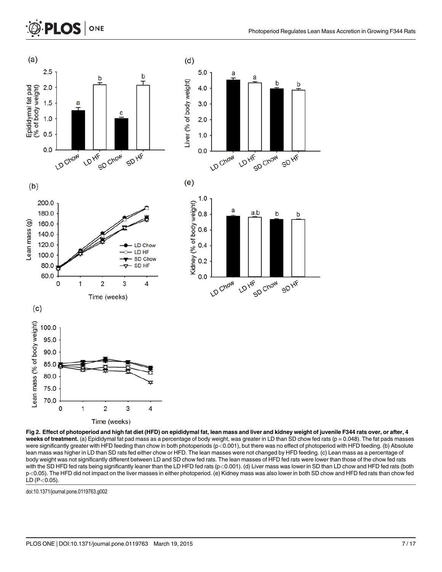# <span id="page-6-0"></span>**PLOS |** ONE



[Fig 2. E](#page-4-0)ffect of photoperiod and high fat diet (HFD) on epididymal fat, lean mass and liver and kidney weight of juvenile F344 rats over, or after, 4 weeks of treatment. (a) Epididymal fat pad mass as a percentage of body weight, was greater in LD than SD chow fed rats ( $p = 0.048$ ). The fat pads masses were significantly greater with HFD feeding than chow in both photoperiods ( $p<0.001$ ), but there was no effect of photoperiod with HFD feeding. (b) Absolute lean mass was higher in LD than SD rats fed either chow or HFD. The lean masses were not changed by HFD feeding. (c) Lean mass as a percentage of body weight was not significantly different between LD and SD chow fed rats. The lean masses of HFD fed rats were lower than those of the chow fed rats with the SD HFD fed rats being significantly leaner than the LD HFD fed rats (p<0.001). (d) Liver mass was lower in SD than LD chow and HFD fed rats (both p<0.05). The HFD did not impact on the liver masses in either photoperiod. (e) Kidney mass was also lower in both SD chow and HFD fed rats than chow fed  $LD (P<0.05)$ .

doi:10.1371/journal.pone.0119763.g002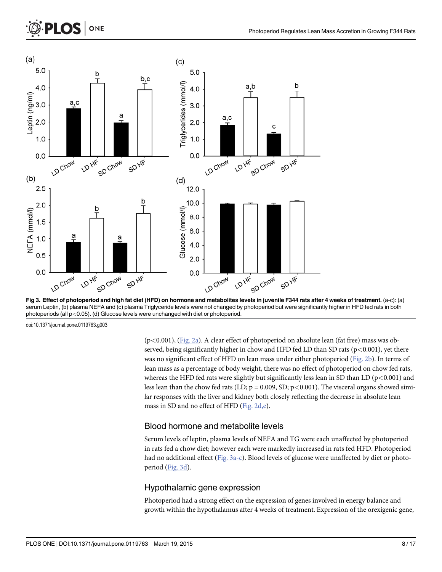

Fig 3. Effect of photoperiod and high fat diet (HFD) on hormone and metabolites levels in juvenile F344 rats after 4 weeks of treatment. (a-c): (a) serum Leptin, (b) plasma NEFA and (c) plasma Triglyceride levels were not changed by photoperiod but were significantly higher in HFD fed rats in both photoperiods (all p<0.05). (d) Glucose levels were unchanged with diet or photoperiod.

doi:10.1371/journal.pone.0119763.g003

(p<0.001), [\(Fig. 2a\)](#page-6-0). A clear effect of photoperiod on absolute lean (fat free) mass was observed, being significantly higher in chow and HFD fed LD than SD rats ( $p$ <0.001), yet there was no significant effect of HFD on lean mass under either photoperiod ([Fig. 2b](#page-6-0)). In terms of lean mass as a percentage of body weight, there was no effect of photoperiod on chow fed rats, whereas the HFD fed rats were slightly but significantly less lean in SD than LD ( $p<0.001$ ) and less lean than the chow fed rats (LD;  $p = 0.009$ , SD;  $p < 0.001$ ). The visceral organs showed similar responses with the liver and kidney both closely reflecting the decrease in absolute lean mass in SD and no effect of HFD ([Fig. 2d,e\)](#page-6-0).

# Blood hormone and metabolite levels

Serum levels of leptin, plasma levels of NEFA and TG were each unaffected by photoperiod in rats fed a chow diet; however each were markedly increased in rats fed HFD. Photoperiod had no additional effect (Fig. 3a-c). Blood levels of glucose were unaffected by diet or photoperiod (Fig. 3d).

# Hypothalamic gene expression

Photoperiod had a strong effect on the expression of genes involved in energy balance and growth within the hypothalamus after 4 weeks of treatment. Expression of the orexigenic gene,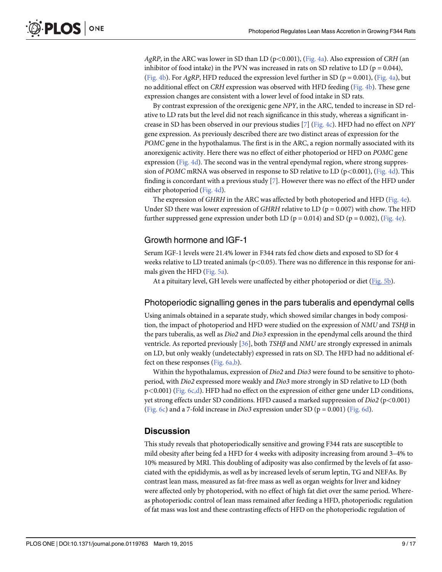<span id="page-8-0"></span>AgRP, in the ARC was lower in SD than LD ( $p$ <0.001), [\(Fig. 4a](#page-9-0)). Also expression of CRH (an inhibitor of food intake) in the PVN was increased in rats on SD relative to LD ( $p = 0.044$ ), [\(Fig. 4b](#page-9-0)). For AgRP, HFD reduced the expression level further in SD ( $p = 0.001$ ), [\(Fig. 4a](#page-9-0)), but no additional effect on CRH expression was observed with HFD feeding [\(Fig. 4b\)](#page-9-0). These gene expression changes are consistent with a lower level of food intake in SD rats.

By contrast expression of the orexigenic gene NPY, in the ARC, tended to increase in SD relative to LD rats but the level did not reach significance in this study, whereas a significant increase in SD has been observed in our previous studies [[7\]](#page-14-0) ([Fig. 4c](#page-9-0)). HFD had no effect on NPY gene expression. As previously described there are two distinct areas of expression for the POMC gene in the hypothalamus. The first is in the ARC, a region normally associated with its anorexigenic activity. Here there was no effect of either photoperiod or HFD on POMC gene expression ([Fig. 4d\)](#page-9-0). The second was in the ventral ependymal region, where strong suppression of POMC mRNA was observed in response to SD relative to LD ( $p<0.001$ ), [\(Fig. 4d](#page-9-0)). This finding is concordant with a previous study [\[7](#page-14-0)]. However there was no effect of the HFD under either photoperiod [\(Fig. 4d\)](#page-9-0).

The expression of GHRH in the ARC was affected by both photoperiod and HFD ([Fig. 4e\)](#page-9-0). Under SD there was lower expression of GHRH relative to LD ( $p = 0.007$ ) with chow. The HFD further suppressed gene expression under both LD ( $p = 0.014$ ) and SD ( $p = 0.002$ ), ( $Fig. 4e$ ).

### Growth hormone and IGF-1

Serum IGF-1 levels were 21.4% lower in F344 rats fed chow diets and exposed to SD for 4 weeks relative to LD treated animals ( $p<0.05$ ). There was no difference in this response for animals given the HFD ([Fig. 5a\)](#page-10-0).

At a pituitary level, GH levels were unaffected by either photoperiod or diet [\(Fig. 5b\)](#page-10-0).

#### Photoperiodic signalling genes in the pars tuberalis and ependymal cells

Using animals obtained in a separate study, which showed similar changes in body composition, the impact of photoperiod and HFD were studied on the expression of  $NMU$  and  $TSH\beta$  in the pars tuberalis, as well as Dio2 and Dio3 expression in the ependymal cells around the third ventricle. As reported previously  $[36]$  $[36]$  $[36]$ , both TSH $\beta$  and NMU are strongly expressed in animals on LD, but only weakly (undetectably) expressed in rats on SD. The HFD had no additional effect on these responses ([Fig. 6a,b](#page-11-0)).

Within the hypothalamus, expression of *Dio2* and *Dio3* were found to be sensitive to photoperiod, with Dio2 expressed more weakly and Dio3 more strongly in SD relative to LD (both p<0.001) [\(Fig. 6c,d\)](#page-11-0). HFD had no effect on the expression of either gene under LD conditions, yet strong effects under SD conditions. HFD caused a marked suppression of  $Dio2$  (p<0.001) [\(Fig. 6c](#page-11-0)) and a 7-fold increase in *Dio3* expression under SD ( $p = 0.001$ ) [\(Fig. 6d](#page-11-0)).

#### **Discussion**

This study reveals that photoperiodically sensitive and growing F344 rats are susceptible to mild obesity after being fed a HFD for 4 weeks with adiposity increasing from around 3–4% to 10% measured by MRI. This doubling of adiposity was also confirmed by the levels of fat associated with the epididymis, as well as by increased levels of serum leptin, TG and NEFAs. By contrast lean mass, measured as fat-free mass as well as organ weights for liver and kidney were affected only by photoperiod, with no effect of high fat diet over the same period. Whereas photoperiodic control of lean mass remained after feeding a HFD, photoperiodic regulation of fat mass was lost and these contrasting effects of HFD on the photoperiodic regulation of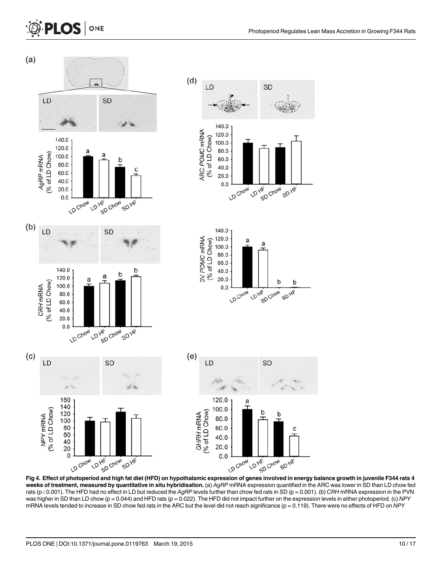<span id="page-9-0"></span>

[Fig 4. E](#page-8-0)ffect of photoperiod and high fat diet (HFD) on hypothalamic expression of genes involved in energy balance growth in juvenile F344 rats 4 weeks of treatment, measured by quantitative in situ hybridisation. (a) AgRP mRNA expression quantified in the ARC was lower in SD than LD chow fed rats (p<0.001). The HFD had no effect in LD but reduced the AgRP levels further than chow fed rats in SD (p = 0.001). (b) CRH mRNA expression in the PVN was higher in SD than LD chow (p = 0.044) and HFD rats (p = 0.022). The HFD did not impact further on the expression levels in either photoperiod. (c) NPY mRNA levels tended to increase in SD chow fed rats in the ARC but the level did not reach significance (p = 0.119). There were no effects of HFD on NPY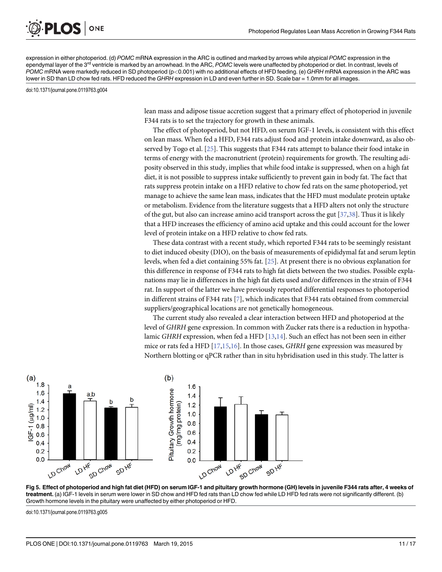<span id="page-10-0"></span>expression in either photoperiod. (d) POMC mRNA expression in the ARC is outlined and marked by arrows while atypical POMC expression in the ependymal layer of the 3<sup>rd</sup> ventricle is marked by an arrowhead. In the ARC, POMC levels were unaffected by photoperiod or diet. In contrast, levels of POMC mRNA were markedly reduced in SD photoperiod (p<0.001) with no additional effects of HFD feeding. (e) GHRH mRNA expression in the ARC was lower in SD than LD chow fed rats. HFD reduced the GHRH expression in LD and even further in SD. Scale bar = 1.0mm for all images.

doi:10.1371/journal.pone.0119763.g004

ONE

lean mass and adipose tissue accretion suggest that a primary effect of photoperiod in juvenile F344 rats is to set the trajectory for growth in these animals.

The effect of photoperiod, but not HFD, on serum IGF-1 levels, is consistent with this effect on lean mass. When fed a HFD, F344 rats adjust food and protein intake downward, as also observed by Togo et al. [\[25](#page-14-0)]. This suggests that F344 rats attempt to balance their food intake in terms of energy with the macronutrient (protein) requirements for growth. The resulting adiposity observed in this study, implies that while food intake is suppressed, when on a high fat diet, it is not possible to suppress intake sufficiently to prevent gain in body fat. The fact that rats suppress protein intake on a HFD relative to chow fed rats on the same photoperiod, yet manage to achieve the same lean mass, indicates that the HFD must modulate protein uptake or metabolism. Evidence from the literature suggests that a HFD alters not only the structure of the gut, but also can increase amino acid transport across the gut  $[37,38]$ . Thus it is likely that a HFD increases the efficiency of amino acid uptake and this could account for the lower level of protein intake on a HFD relative to chow fed rats.

These data contrast with a recent study, which reported F344 rats to be seemingly resistant to diet induced obesity (DIO), on the basis of measurements of epididymal fat and serum leptin levels, when fed a diet containing 55% fat. [\[25](#page-14-0)]. At present there is no obvious explanation for this difference in response of F344 rats to high fat diets between the two studies. Possible explanations may lie in differences in the high fat diets used and/or differences in the strain of F344 rat. In support of the latter we have previously reported differential responses to photoperiod in different strains of F344 rats [\[7](#page-14-0)], which indicates that F344 rats obtained from commercial suppliers/geographical locations are not genetically homogeneous.

The current study also revealed a clear interaction between HFD and photoperiod at the level of GHRH gene expression. In common with Zucker rats there is a reduction in hypotha-lamic GHRH expression, when fed a HFD [\[13,14](#page-14-0)]. Such an effect has not been seen in either mice or rats fed a HFD  $[17,15,16]$  $[17,15,16]$  $[17,15,16]$  $[17,15,16]$  $[17,15,16]$ . In those cases, GHRH gene expression was measured by Northern blotting or qPCR rather than in situ hybridisation used in this study. The latter is



[Fig 5. E](#page-8-0)ffect of photoperiod and high fat diet (HFD) on serum IGF-1 and pituitary growth hormone (GH) levels in juvenile F344 rats after, 4 weeks of treatment. (a) IGF-1 levels in serum were lower in SD chow and HFD fed rats than LD chow fed while LD HFD fed rats were not significantly different. (b) Growth hormone levels in the pituitary were unaffected by either photoperiod or HFD.

doi:10.1371/journal.pone.0119763.g005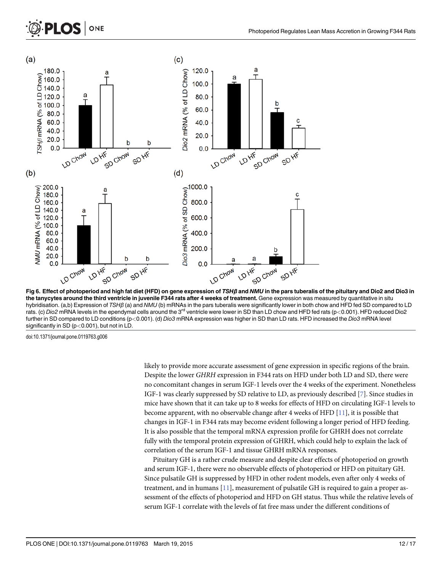# <span id="page-11-0"></span>ONE **PLOS**



[Fig 6. E](#page-8-0)ffect of photoperiod and high fat diet (HFD) on gene expression of TSHβ and NMU in the pars tuberalis of the pituitary and Dio2 and Dio3 in the tanycytes around the third ventricle in juvenile F344 rats after 4 weeks of treatment. Gene expression was measured by quantitative in situ hybridisation. (a,b) Expression of TSHβ (a) and NMU (b) mRNAs in the pars tuberalis were significantly lower in both chow and HFD fed SD compared to LD rats. (c) Dio2 mRNA levels in the ependymal cells around the 3<sup>rd</sup> ventricle were lower in SD than LD chow and HFD fed rats (p<0.001). HFD reduced Dio2 further in SD compared to LD conditions (p<0.001). (d) Dio3 mRNA expression was higher in SD than LD rats. HFD increased the Dio3 mRNA level significantly in SD (p<0.001), but not in LD.

doi:10.1371/journal.pone.0119763.g006

likely to provide more accurate assessment of gene expression in specific regions of the brain. Despite the lower GHRH expression in F344 rats on HFD under both LD and SD, there were no concomitant changes in serum IGF-1 levels over the 4 weeks of the experiment. Nonetheless IGF-1 was clearly suppressed by SD relative to LD, as previously described [[7\]](#page-14-0). Since studies in mice have shown that it can take up to 8 weeks for effects of HFD on circulating IGF-1 levels to become apparent, with no observable change after 4 weeks of HFD  $[11]$  $[11]$  $[11]$ , it is possible that changes in IGF-1 in F344 rats may become evident following a longer period of HFD feeding. It is also possible that the temporal mRNA expression profile for GHRH does not correlate fully with the temporal protein expression of GHRH, which could help to explain the lack of correlation of the serum IGF-1 and tissue GHRH mRNA responses.

Pituitary GH is a rather crude measure and despite clear effects of photoperiod on growth and serum IGF-1, there were no observable effects of photoperiod or HFD on pituitary GH. Since pulsatile GH is suppressed by HFD in other rodent models, even after only 4 weeks of treatment, and in humans  $[11]$  $[11]$  $[11]$ , measurement of pulsatile GH is required to gain a proper assessment of the effects of photoperiod and HFD on GH status. Thus while the relative levels of serum IGF-1 correlate with the levels of fat free mass under the different conditions of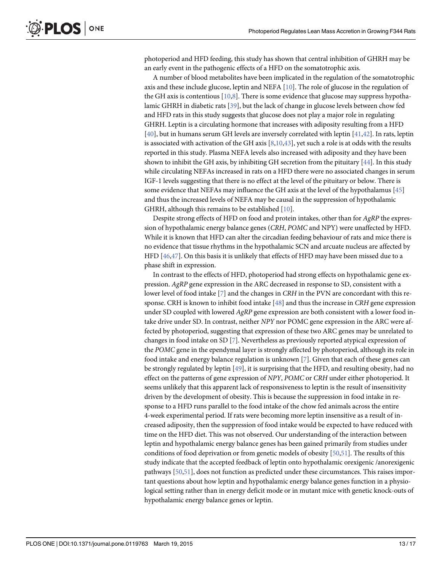<span id="page-12-0"></span>photoperiod and HFD feeding, this study has shown that central inhibition of GHRH may be an early event in the pathogenic effects of a HFD on the somatotrophic axis.

A number of blood metabolites have been implicated in the regulation of the somatotrophic axis and these include glucose, leptin and NEFA [[10](#page-14-0)]. The role of glucose in the regulation of the GH axis is contentious  $[10,8]$  $[10,8]$ . There is some evidence that glucose may suppress hypothalamic GHRH in diabetic rats [[39](#page-15-0)], but the lack of change in glucose levels between chow fed and HFD rats in this study suggests that glucose does not play a major role in regulating GHRH. Leptin is a circulating hormone that increases with adiposity resulting from a HFD [\[40](#page-15-0)], but in humans serum GH levels are inversely correlated with leptin [\[41,42\]](#page-15-0). In rats, leptin is associated with activation of the GH axis  $[8,10,43]$  $[8,10,43]$  $[8,10,43]$  $[8,10,43]$ , yet such a role is at odds with the results reported in this study. Plasma NEFA levels also increased with adiposity and they have been shown to inhibit the GH axis, by inhibiting GH secretion from the pituitary  $[44]$  $[44]$ . In this study while circulating NEFAs increased in rats on a HFD there were no associated changes in serum IGF-1 levels suggesting that there is no effect at the level of the pituitary or below. There is some evidence that NEFAs may influence the GH axis at the level of the hypothalamus  $[45]$  $[45]$  $[45]$ and thus the increased levels of NEFA may be causal in the suppression of hypothalamic GHRH, although this remains to be established [\[10\]](#page-14-0).

Despite strong effects of HFD on food and protein intakes, other than for AgRP the expression of hypothalamic energy balance genes (CRH, POMC and NPY) were unaffected by HFD. While it is known that HFD can alter the circadian feeding behaviour of rats and mice there is no evidence that tissue rhythms in the hypothalamic SCN and arcuate nucleus are affected by HFD [[46](#page-15-0),[47](#page-15-0)]. On this basis it is unlikely that effects of HFD may have been missed due to a phase shift in expression.

In contrast to the effects of HFD, photoperiod had strong effects on hypothalamic gene expression. AgRP gene expression in the ARC decreased in response to SD, consistent with a lower level of food intake [\[7\]](#page-14-0) and the changes in *CRH* in the PVN are concordant with this response. CRH is known to inhibit food intake [[48\]](#page-15-0) and thus the increase in CRH gene expression under SD coupled with lowered AgRP gene expression are both consistent with a lower food intake drive under SD. In contrast, neither NPY nor POMC gene expression in the ARC were affected by photoperiod, suggesting that expression of these two ARC genes may be unrelated to changes in food intake on SD [\[7](#page-14-0)]. Nevertheless as previously reported atypical expression of the POMC gene in the ependymal layer is strongly affected by photoperiod, although its role in food intake and energy balance regulation is unknown [ $\mathbb{Z}$ ]. Given that each of these genes can be strongly regulated by leptin [\[49](#page-16-0)], it is surprising that the HFD, and resulting obesity, had no effect on the patterns of gene expression of NPY, POMC or CRH under either photoperiod. It seems unlikely that this apparent lack of responsiveness to leptin is the result of insensitivity driven by the development of obesity. This is because the suppression in food intake in response to a HFD runs parallel to the food intake of the chow fed animals across the entire 4-week experimental period. If rats were becoming more leptin insensitive as a result of increased adiposity, then the suppression of food intake would be expected to have reduced with time on the HFD diet. This was not observed. Our understanding of the interaction between leptin and hypothalamic energy balance genes has been gained primarily from studies under conditions of food deprivation or from genetic models of obesity  $[50,51]$  $[50,51]$  $[50,51]$ . The results of this study indicate that the accepted feedback of leptin onto hypothalamic orexigenic /anorexigenic pathways [[50,51](#page-16-0)], does not function as predicted under these circumstances. This raises important questions about how leptin and hypothalamic energy balance genes function in a physiological setting rather than in energy deficit mode or in mutant mice with genetic knock-outs of hypothalamic energy balance genes or leptin.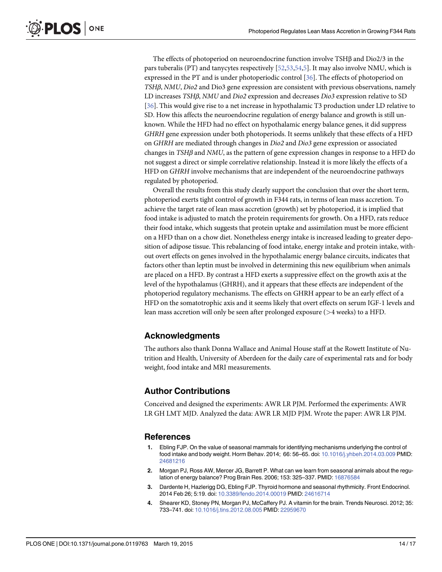<span id="page-13-0"></span>PLOS ONE

The effects of photoperiod on neuroendocrine function involve TSHβ and Dio2/3 in the pars tuberalis (PT) and tanycytes respectively [[52,53,54](#page-16-0)[,5](#page-14-0)]. It may also involve NMU, which is expressed in the PT and is under photoperiodic control [\[36\]](#page-15-0). The effects of photoperiod on TSHβ, NMU, Dio2 and Dio3 gene expression are consistent with previous observations, namely LD increases TSHβ, NMU and Dio2 expression and decreases Dio3 expression relative to SD [\[36](#page-15-0)]. This would give rise to a net increase in hypothalamic T3 production under LD relative to SD. How this affects the neuroendocrine regulation of energy balance and growth is still unknown. While the HFD had no effect on hypothalamic energy balance genes, it did suppress GHRH gene expression under both photoperiods. It seems unlikely that these effects of a HFD on GHRH are mediated through changes in Dio2 and Dio3 gene expression or associated changes in TSHβ and NMU, as the pattern of gene expression changes in response to a HFD do not suggest a direct or simple correlative relationship. Instead it is more likely the effects of a HFD on GHRH involve mechanisms that are independent of the neuroendocrine pathways regulated by photoperiod.

Overall the results from this study clearly support the conclusion that over the short term, photoperiod exerts tight control of growth in F344 rats, in terms of lean mass accretion. To achieve the target rate of lean mass accretion (growth) set by photoperiod, it is implied that food intake is adjusted to match the protein requirements for growth. On a HFD, rats reduce their food intake, which suggests that protein uptake and assimilation must be more efficient on a HFD than on a chow diet. Nonetheless energy intake is increased leading to greater deposition of adipose tissue. This rebalancing of food intake, energy intake and protein intake, without overt effects on genes involved in the hypothalamic energy balance circuits, indicates that factors other than leptin must be involved in determining this new equilibrium when animals are placed on a HFD. By contrast a HFD exerts a suppressive effect on the growth axis at the level of the hypothalamus (GHRH), and it appears that these effects are independent of the photoperiod regulatory mechanisms. The effects on GHRH appear to be an early effect of a HFD on the somatotrophic axis and it seems likely that overt effects on serum IGF-1 levels and lean mass accretion will only be seen after prolonged exposure (>4 weeks) to a HFD.

# Acknowledgments

The authors also thank Donna Wallace and Animal House staff at the Rowett Institute of Nutrition and Health, University of Aberdeen for the daily care of experimental rats and for body weight, food intake and MRI measurements.

# Author Contributions

Conceived and designed the experiments: AWR LR PJM. Performed the experiments: AWR LR GH LMT MJD. Analyzed the data: AWR LR MJD PJM. Wrote the paper: AWR LR PJM.

# References

- [1.](#page-1-0) Ebling FJP. On the value of seasonal mammals for identifying mechanisms underlying the control of food intake and body weight. Horm Behav. 2014; 66: 56–65. doi: [10.1016/j.yhbeh.2014.03.009](http://dx.doi.org/10.1016/j.yhbeh.2014.03.009) PMID: [24681216](http://www.ncbi.nlm.nih.gov/pubmed/24681216)
- [2.](#page-1-0) Morgan PJ, Ross AW, Mercer JG, Barrett P. What can we learn from seasonal animals about the regulation of energy balance? Prog Brain Res. 2006; 153: 325–337. PMID: [16876584](http://www.ncbi.nlm.nih.gov/pubmed/16876584)
- [3.](#page-1-0) Dardente H, Hazlerigg DG, Ebling FJP. Thyroid hormone and seasonal rhythmicity. Front Endocrinol. 2014 Feb 26; 5:19. doi: [10.3389/fendo.2014.00019](http://dx.doi.org/10.3389/fendo.2014.00019) PMID: [24616714](http://www.ncbi.nlm.nih.gov/pubmed/24616714)
- [4.](#page-1-0) Shearer KD, Stoney PN, Morgan PJ, McCaffery PJ. A vitamin for the brain. Trends Neurosci. 2012; 35: 733–741. doi: [10.1016/j.tins.2012.08.005](http://dx.doi.org/10.1016/j.tins.2012.08.005) PMID: [22959670](http://www.ncbi.nlm.nih.gov/pubmed/22959670)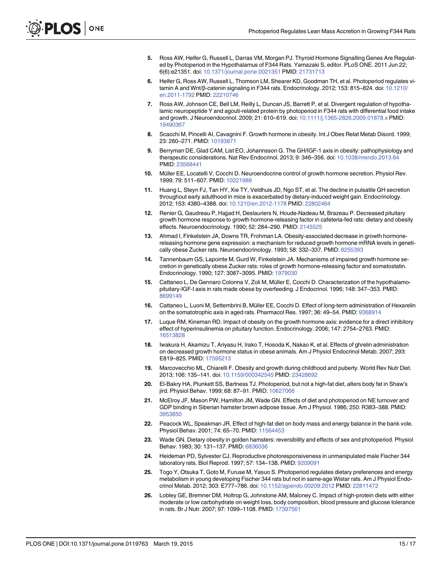- <span id="page-14-0"></span>[5.](#page-1-0) Ross AW, Helfer G, Russell L, Darras VM, Morgan PJ. Thyroid Hormone Signalling Genes Are Regulated by Photoperiod in the Hypothalamus of F344 Rats. Yamazaki S, editor. PLoS ONE. 2011 Jun 22; 6(6):e21351. doi: [10.1371/journal.pone.0021351](http://dx.doi.org/10.1371/journal.pone.0021351) PMID: [21731713](http://www.ncbi.nlm.nih.gov/pubmed/21731713)
- [6.](#page-1-0) Helfer G, Ross AW, Russell L, Thomson LM, Shearer KD, Goodman TH, et al. Photoperiod regulates vitamin A and Wnt/β-catenin signaling in F344 rats. Endocrinology. 2012; 153: 815–824. doi: [10.1210/](http://dx.doi.org/10.1210/en.2011-1792) [en.2011-1792](http://dx.doi.org/10.1210/en.2011-1792) PMID: [22210746](http://www.ncbi.nlm.nih.gov/pubmed/22210746)
- [7.](#page-1-0) Ross AW, Johnson CE, Bell LM, Reilly L, Duncan JS, Barrett P, et al. Divergent regulation of hypothalamic neuropeptide Y and agouti-related protein by photoperiod in F344 rats with differential food intake and growth. J Neuroendocrinol. 2009; 21: 610–619. doi: [10.1111/j.1365-2826.2009.01878.x](http://dx.doi.org/10.1111/j.1365-2826.2009.01878.x) PMID: [19490367](http://www.ncbi.nlm.nih.gov/pubmed/19490367)
- [8.](#page-1-0) Scacchi M, Pincelli AI, Cavagnini F. Growth hormone in obesity. Int J Obes Relat Metab Disord. 1999; 23: 260–271. PMID: [10193871](http://www.ncbi.nlm.nih.gov/pubmed/10193871)
- [9.](#page-1-0) Berryman DE, Glad CAM, List EO, Johannsson G. The GH/IGF-1 axis in obesity: pathophysiology and therapeutic considerations. Nat Rev Endocrinol. 2013; 9: 346–356. doi: [10.1038/nrendo.2013.64](http://dx.doi.org/10.1038/nrendo.2013.64) PMID: [23568441](http://www.ncbi.nlm.nih.gov/pubmed/23568441)
- [10.](#page-1-0) Müller EE, Locatelli V, Cocchi D. Neuroendocrine control of growth hormone secretion. Physiol Rev. 1999; 79: 511–607. PMID: [10221989](http://www.ncbi.nlm.nih.gov/pubmed/10221989)
- [11.](#page-1-0) Huang L, Steyn FJ, Tan HY, Xie TY, Veldhuis JD, Ngo ST, et al. The decline in pulsatile GH secretion throughout early adulthood in mice is exacerbated by dietary-induced weight gain. Endocrinology. 2012; 153: 4380–4388. doi: [10.1210/en.2012-1178](http://dx.doi.org/10.1210/en.2012-1178) PMID: [22802464](http://www.ncbi.nlm.nih.gov/pubmed/22802464)
- [12.](#page-1-0) Renier G, Gaudreau P, Hajjad H, Deslauriers N, Houde-Nadeau M, Brazeau P. Decreased pituitary growth hormone response to growth hormone-releasing factor in cafeteria-fed rats: dietary and obesity effects. Neuroendocrinology. 1990; 52: 284–290. PMID: [2145525](http://www.ncbi.nlm.nih.gov/pubmed/2145525)
- [13.](#page-1-0) Ahmad I, Finkelstein JA, Downs TR, Frohman LA. Obesity-associated decrease in growth hormonereleasing hormone gene expression: a mechanism for reduced growth hormone mRNA levels in genetically obese Zucker rats. Neuroendocrinology. 1993; 58: 332–337. PMID: [8255393](http://www.ncbi.nlm.nih.gov/pubmed/8255393)
- [14.](#page-1-0) Tannenbaum GS, Lapointe M, Gurd W, Finkelstein JA. Mechanisms of impaired growth hormone secretion in genetically obese Zucker rats: roles of growth hormone-releasing factor and somatostatin. Endocrinology. 1990; 127: 3087–3095. PMID: [1979030](http://www.ncbi.nlm.nih.gov/pubmed/1979030)
- [15.](#page-1-0) Cattaneo L, De Gennaro Colonna V, Zoli M, Müller E, Cocchi D. Characterization of the hypothalamopituitary-IGF-I axis in rats made obese by overfeeding. J Endocrinol. 1996; 148: 347–353. PMID: [8699149](http://www.ncbi.nlm.nih.gov/pubmed/8699149)
- [16.](#page-1-0) Cattaneo L, Luoni M, Settembrini B, Müller EE, Cocchi D. Effect of long-term administration of Hexarelin on the somatotrophic axis in aged rats. Pharmacol Res. 1997; 36: 49–54. PMID: [9368914](http://www.ncbi.nlm.nih.gov/pubmed/9368914)
- [17.](#page-1-0) Luque RM, Kineman RD. Impact of obesity on the growth hormone axis: evidence for a direct inhibitory effect of hyperinsulinemia on pituitary function. Endocrinology. 2006; 147: 2754–2763. PMID: [16513828](http://www.ncbi.nlm.nih.gov/pubmed/16513828)
- [18.](#page-1-0) Iwakura H, Akamizu T, Ariyasu H, Irako T, Hosoda K, Nakao K, et al. Effects of ghrelin administration on decreased growth hormone status in obese animals. Am J Physiol Endocrinol Metab. 2007; 293: E819–825. PMID: [17595213](http://www.ncbi.nlm.nih.gov/pubmed/17595213)
- [19.](#page-1-0) Marcovecchio ML, Chiarelli F. Obesity and growth during childhood and puberty. World Rev Nutr Diet. 2013; 106: 135–141. doi: [10.1159/000342545](http://dx.doi.org/10.1159/000342545) PMID: [23428692](http://www.ncbi.nlm.nih.gov/pubmed/23428692)
- [20.](#page-1-0) El-Bakry HA, Plunkett SS, Bartness TJ. Photoperiod, but not a high-fat diet, alters body fat in Shaw's jird. Physiol Behav. 1999; 68: 87–91. PMID: [10627066](http://www.ncbi.nlm.nih.gov/pubmed/10627066)
- [21.](#page-1-0) McElroy JF, Mason PW, Hamilton JM, Wade GN. Effects of diet and photoperiod on NE turnover and GDP binding in Siberian hamster brown adipose tissue. Am J Physiol. 1986; 250: R383–388. PMID: [3953850](http://www.ncbi.nlm.nih.gov/pubmed/3953850)
- [22.](#page-1-0) Peacock WL, Speakman JR. Effect of high-fat diet on body mass and energy balance in the bank vole. Physiol Behav. 2001; 74: 65–70. PMID: [11564453](http://www.ncbi.nlm.nih.gov/pubmed/11564453)
- [23.](#page-1-0) Wade GN. Dietary obesity in golden hamsters: reversibility and effects of sex and photoperiod. Physiol Behav. 1983; 30: 131–137. PMID: [6836036](http://www.ncbi.nlm.nih.gov/pubmed/6836036)
- [24.](#page-2-0) Heideman PD, Sylvester CJ. Reproductive photoresponsiveness in unmanipulated male Fischer 344 laboratory rats. Biol Reprod. 1997; 57: 134–138. PMID: [9209091](http://www.ncbi.nlm.nih.gov/pubmed/9209091)
- [25.](#page-2-0) Togo Y, Otsuka T, Goto M, Furuse M, Yasuo S. Photoperiod regulates dietary preferences and energy metabolism in young developing Fischer 344 rats but not in same-age Wistar rats. Am J Physiol Endocrinol Metab. 2012; 303: E777–786. doi: [10.1152/ajpendo.00209.2012](http://dx.doi.org/10.1152/ajpendo.00209.2012) PMID: [22811472](http://www.ncbi.nlm.nih.gov/pubmed/22811472)
- [26.](#page-2-0) Lobley GE, Bremner DM, Holtrop G, Johnstone AM, Maloney C. Impact of high-protein diets with either moderate or low carbohydrate on weight loss, body composition, blood pressure and glucose tolerance in rats. Br J Nutr. 2007; 97: 1099–1108. PMID: [17397561](http://www.ncbi.nlm.nih.gov/pubmed/17397561)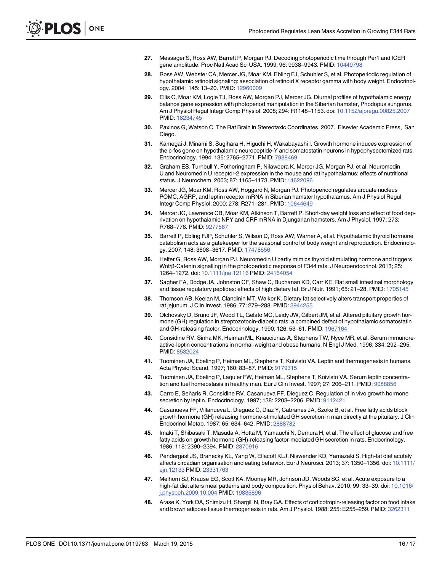- <span id="page-15-0"></span>[27.](#page-3-0) Messager S, Ross AW, Barrett P, Morgan PJ. Decoding photoperiodic time through Per1 and ICER gene amplitude. Proc Natl Acad Sci USA. 1999; 96: 9938–9943. PMID: [10449798](http://www.ncbi.nlm.nih.gov/pubmed/10449798)
- [28.](#page-3-0) Ross AW, Webster CA, Mercer JG, Moar KM, Ebling FJ, Schuhler S, et al. Photoperiodic regulation of hypothalamic retinoid signaling: association of retinoid X receptor gamma with body weight. Endocrinology. 2004: 145: 13–20. PMID: [12960009](http://www.ncbi.nlm.nih.gov/pubmed/12960009)
- [29.](#page-3-0) Ellis C, Moar KM, Logie TJ, Ross AW, Morgan PJ, Mercer JG. Diurnal profiles of hypothalamic energy balance gene expression with photoperiod manipulation in the Siberian hamster, Phodopus sungorus. Am J Physiol Regul Integr Comp Physiol. 2008; 294: R1148–1153. doi: [10.1152/ajpregu.00825.2007](http://dx.doi.org/10.1152/ajpregu.00825.2007) PMID: [18234745](http://www.ncbi.nlm.nih.gov/pubmed/18234745)
- [30.](#page-3-0) Paxinos G, Watson C. The Rat Brain in Stereotaxic Coordinates. 2007. Elsevier Academic Press, San Diego.
- [31.](#page-3-0) Kamegai J, Minami S, Sugihara H, Higuchi H, Wakabayashi I. Growth hormone induces expression of the c-fos gene on hypothalamic neuropeptide-Y and somatostatin neurons in hypophysectomized rats. Endocrinology. 1994; 135: 2765–2771. PMID: [7988469](http://www.ncbi.nlm.nih.gov/pubmed/7988469)
- [32.](#page-3-0) Graham ES, Turnbull Y, Fotheringham P, Nilaweera K, Mercer JG, Morgan PJ, et al. Neuromedin U and Neuromedin U receptor-2 expression in the mouse and rat hypothalamus: effects of nutritional status. J Neurochem. 2003; 87: 1165–1173. PMID: [14622096](http://www.ncbi.nlm.nih.gov/pubmed/14622096)
- [33.](#page-3-0) Mercer JG, Moar KM, Ross AW, Hoggard N, Morgan PJ. Photoperiod regulates arcuate nucleus POMC, AGRP, and leptin receptor mRNA in Siberian hamster hypothalamus. Am J Physiol Regul Integr Comp Physiol. 2000; 278: R271–281. PMID: [10644649](http://www.ncbi.nlm.nih.gov/pubmed/10644649)
- [34.](#page-3-0) Mercer JG, Lawrence CB, Moar KM, Atkinson T, Barrett P. Short-day weight loss and effect of food deprivation on hypothalamic NPY and CRF mRNA in Djungarian hamsters. Am J Physiol. 1997; 273: R768–776. PMID: [9277567](http://www.ncbi.nlm.nih.gov/pubmed/9277567)
- [35.](#page-3-0) Barrett P, Ebling FJP, Schuhler S, Wilson D, Ross AW, Warner A, et al. Hypothalamic thyroid hormone catabolism acts as a gatekeeper for the seasonal control of body weight and reproduction. Endocrinology. 2007; 148: 3608–3617. PMID: [17478556](http://www.ncbi.nlm.nih.gov/pubmed/17478556)
- [36.](#page-8-0) Helfer G, Ross AW, Morgan PJ. Neuromedin U partly mimics thyroid stimulating hormone and triggers Wnt/β-Catenin signalling in the photoperiodic response of F344 rats. J Neuroendocrinol. 2013; 25: 1264–1272. doi: [10.1111/jne.12116](http://dx.doi.org/10.1111/jne.12116) PMID: [24164054](http://www.ncbi.nlm.nih.gov/pubmed/24164054)
- [37.](#page-10-0) Sagher FA, Dodge JA, Johnston CF, Shaw C, Buchanan KD, Carr KE. Rat small intestinal morphology and tissue regulatory peptides: effects of high dietary fat. Br J Nutr. 1991; 65: 21-28. PMID: [1705145](http://www.ncbi.nlm.nih.gov/pubmed/1705145)
- [38.](#page-10-0) Thomson AB, Keelan M, Clandinin MT, Walker K. Dietary fat selectively alters transport properties of rat jejunum. J Clin Invest. 1986; 77: 279–288. PMID: [3944255](http://www.ncbi.nlm.nih.gov/pubmed/3944255)
- [39.](#page-12-0) Olchovsky D, Bruno JF, Wood TL, Gelato MC, Leidy JW, Gilbert JM, et al. Altered pituitary growth hormone (GH) regulation in streptozotocin-diabetic rats: a combined defect of hypothalamic somatostatin and GH-releasing factor. Endocrinology. 1990; 126: 53–61. PMID: [1967164](http://www.ncbi.nlm.nih.gov/pubmed/1967164)
- [40.](#page-12-0) Considine RV, Sinha MK, Heiman ML, Kriauciunas A, Stephens TW, Nyce MR, et al. Serum immunoreactive-leptin concentrations in normal-weight and obese humans. N Engl J Med. 1996; 334: 292–295. PMID: [8532024](http://www.ncbi.nlm.nih.gov/pubmed/8532024)
- [41.](#page-12-0) Tuominen JA, Ebeling P, Heiman ML, Stephens T, Koivisto VA. Leptin and thermogenesis in humans. Acta Physiol Scand. 1997; 160: 83–87. PMID: [9179315](http://www.ncbi.nlm.nih.gov/pubmed/9179315)
- [42.](#page-12-0) Tuominen JA, Ebeling P, Laquier FW, Heiman ML, Stephens T, Koivisto VA. Serum leptin concentra-tion and fuel homeostasis in healthy man. Eur J Clin Invest. 1997; 27: 206-211. PMID: [9088856](http://www.ncbi.nlm.nih.gov/pubmed/9088856)
- [43.](#page-12-0) Carro E, Señaris R, Considine RV, Casanueva FF, Dieguez C. Regulation of in vivo growth hormone secretion by leptin. Endocrinology. 1997; 138: 2203–2206. PMID: [9112421](http://www.ncbi.nlm.nih.gov/pubmed/9112421)
- [44.](#page-12-0) Casanueva FF, Villanueva L, Dieguez C, Diaz Y, Cabranes JA, Szoke B, et al. Free fatty acids block growth hormone (GH) releasing hormone-stimulated GH secretion in man directly at the pituitary. J Clin Endocrinol Metab. 1987; 65: 634–642. PMID: [2888782](http://www.ncbi.nlm.nih.gov/pubmed/2888782)
- [45.](#page-12-0) Imaki T, Shibasaki T, Masuda A, Hotta M, Yamauchi N, Demura H, et al. The effect of glucose and free fatty acids on growth hormone (GH)-releasing factor-mediated GH secretion in rats. Endocrinology. 1986; 118: 2390–2394. PMID: [2870916](http://www.ncbi.nlm.nih.gov/pubmed/2870916)
- [46.](#page-12-0) Pendergast JS, Branecky KL, Yang W, Ellacott KLJ, Niswender KD, Yamazaki S. High-fat diet acutely affects circadian organisation and eating behavior. Eur J Neurosci. 2013; 37: 1350–1356. doi: [10.1111/](http://dx.doi.org/10.1111/ejn.12133) [ejn.12133](http://dx.doi.org/10.1111/ejn.12133) PMID: [23331763](http://www.ncbi.nlm.nih.gov/pubmed/23331763)
- [47.](#page-12-0) Melhorn SJ, Krause EG, Scott KA, Mooney MR, Johnson JD, Woods SC, et al. Acute exposure to a high-fat diet alters meal patterns and body composition. Physiol Behav. 2010; 99: 33–39. doi: [10.1016/](http://dx.doi.org/10.1016/j.physbeh.2009.10.004) [j.physbeh.2009.10.004](http://dx.doi.org/10.1016/j.physbeh.2009.10.004) PMID: [19835896](http://www.ncbi.nlm.nih.gov/pubmed/19835896)
- [48.](#page-12-0) Arase K, York DA, Shimizu H, Shargill N, Bray GA. Effects of corticotropin-releasing factor on food intake and brown adipose tissue thermogenesis in rats. Am J Physiol. 1988; 255: E255–259. PMID: [3262311](http://www.ncbi.nlm.nih.gov/pubmed/3262311)